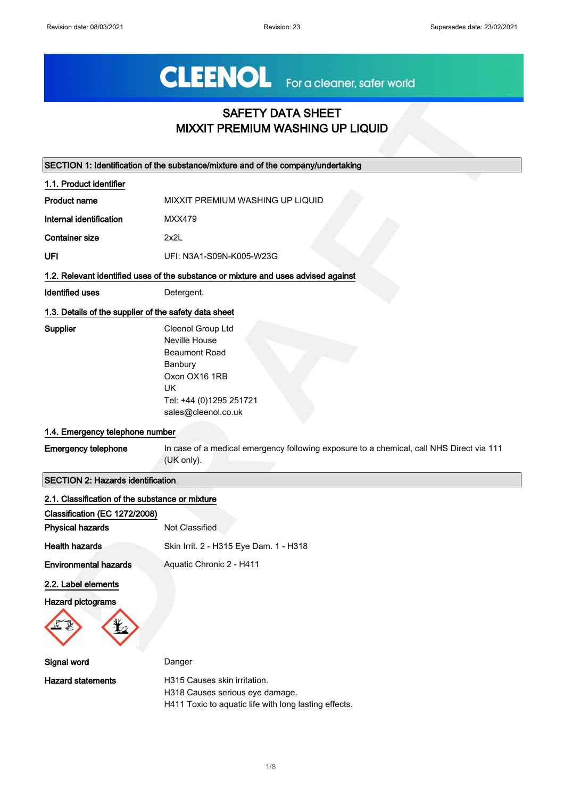### SAFETY DATA SHEET MIXXIT PREMIUM WASHING UP LIQUID

|                                                       | <b>SAFETY DATA SHEET</b><br><b>MIXXIT PREMIUM WASHING UP LIQUID</b>                                                                                   |
|-------------------------------------------------------|-------------------------------------------------------------------------------------------------------------------------------------------------------|
|                                                       |                                                                                                                                                       |
|                                                       | SECTION 1: Identification of the substance/mixture and of the company/undertaking                                                                     |
| 1.1. Product identifier                               |                                                                                                                                                       |
| <b>Product name</b>                                   | MIXXIT PREMIUM WASHING UP LIQUID                                                                                                                      |
| Internal identification                               | <b>MXX479</b>                                                                                                                                         |
| <b>Container size</b>                                 | 2x2L                                                                                                                                                  |
| UFI                                                   | UFI: N3A1-S09N-K005-W23G                                                                                                                              |
|                                                       | 1.2. Relevant identified uses of the substance or mixture and uses advised against                                                                    |
| <b>Identified uses</b>                                | Detergent.                                                                                                                                            |
| 1.3. Details of the supplier of the safety data sheet |                                                                                                                                                       |
| <b>Supplier</b>                                       | Cleenol Group Ltd<br>Neville House<br><b>Beaumont Road</b><br>Banbury<br>Oxon OX16 1RB<br><b>UK</b><br>Tel: +44 (0)1295 251721<br>sales@cleenol.co.uk |
| 1.4. Emergency telephone number                       |                                                                                                                                                       |
| <b>Emergency telephone</b>                            | In case of a medical emergency following exposure to a chemical, call NHS Direct via 111<br>(UK only).                                                |
| <b>SECTION 2: Hazards identification</b>              |                                                                                                                                                       |
| 2.1. Classification of the substance or mixture       |                                                                                                                                                       |
| Classification (EC 1272/2008)                         |                                                                                                                                                       |
| <b>Physical hazards</b>                               | Not Classified                                                                                                                                        |
| <b>Health hazards</b>                                 | Skin Irrit. 2 - H315 Eye Dam. 1 - H318                                                                                                                |
| <b>Environmental hazards</b>                          | Aquatic Chronic 2 - H411                                                                                                                              |
| 2.2. Label elements<br><b>Hazard pictograms</b>       |                                                                                                                                                       |
| Signal word                                           | Danger                                                                                                                                                |
| <b>Hazard statements</b>                              | H315 Causes skin irritation.<br>H318 Causes serious eye damage.<br>H411 Toxic to aquatic life with long lasting effects.                              |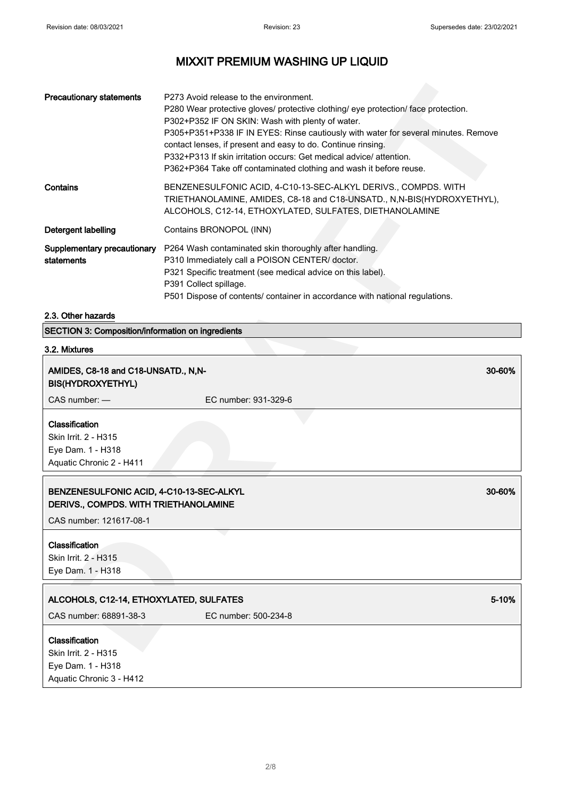| <b>Precautionary statements</b>           | P273 Avoid release to the environment.<br>P280 Wear protective gloves/ protective clothing/ eye protection/ face protection.<br>P302+P352 IF ON SKIN: Wash with plenty of water.<br>P305+P351+P338 IF IN EYES: Rinse cautiously with water for several minutes. Remove<br>contact lenses, if present and easy to do. Continue rinsing.<br>P332+P313 If skin irritation occurs: Get medical advice/ attention.<br>P362+P364 Take off contaminated clothing and wash it before reuse. |
|-------------------------------------------|-------------------------------------------------------------------------------------------------------------------------------------------------------------------------------------------------------------------------------------------------------------------------------------------------------------------------------------------------------------------------------------------------------------------------------------------------------------------------------------|
| Contains                                  | BENZENESULFONIC ACID, 4-C10-13-SEC-ALKYL DERIVS., COMPDS. WITH<br>TRIETHANOLAMINE, AMIDES, C8-18 and C18-UNSATD., N,N-BIS(HYDROXYETHYL),<br>ALCOHOLS, C12-14, ETHOXYLATED, SULFATES, DIETHANOLAMINE                                                                                                                                                                                                                                                                                 |
| Detergent labelling                       | Contains BRONOPOL (INN)                                                                                                                                                                                                                                                                                                                                                                                                                                                             |
| Supplementary precautionary<br>statements | P264 Wash contaminated skin thoroughly after handling.<br>P310 Immediately call a POISON CENTER/ doctor.<br>P321 Specific treatment (see medical advice on this label).<br>P391 Collect spillage.<br>P501 Dispose of contents/ container in accordance with national regulations.                                                                                                                                                                                                   |

### 2.3. Other hazards

# 3.2. Mixtures

| <b>Precautionary statements</b>                                                                            | P273 Avoid release to the environment.<br>P280 Wear protective gloves/ protective clothing/ eye protection/ face protection.<br>P302+P352 IF ON SKIN: Wash with plenty of water.<br>P305+P351+P338 IF IN EYES: Rinse cautiously with water for several minutes. Remove<br>contact lenses, if present and easy to do. Continue rinsing.<br>P332+P313 If skin irritation occurs: Get medical advice/ attention.<br>P362+P364 Take off contaminated clothing and wash it before reuse. |        |
|------------------------------------------------------------------------------------------------------------|-------------------------------------------------------------------------------------------------------------------------------------------------------------------------------------------------------------------------------------------------------------------------------------------------------------------------------------------------------------------------------------------------------------------------------------------------------------------------------------|--------|
| Contains                                                                                                   | BENZENESULFONIC ACID, 4-C10-13-SEC-ALKYL DERIVS., COMPDS. WITH<br>TRIETHANOLAMINE, AMIDES, C8-18 and C18-UNSATD., N,N-BIS(HYDROXYETHYL),<br>ALCOHOLS, C12-14, ETHOXYLATED, SULFATES, DIETHANOLAMINE                                                                                                                                                                                                                                                                                 |        |
| Detergent labelling                                                                                        | Contains BRONOPOL (INN)                                                                                                                                                                                                                                                                                                                                                                                                                                                             |        |
| Supplementary precautionary<br>statements                                                                  | P264 Wash contaminated skin thoroughly after handling.<br>P310 Immediately call a POISON CENTER/ doctor.<br>P321 Specific treatment (see medical advice on this label).<br>P391 Collect spillage.<br>P501 Dispose of contents/ container in accordance with national regulations.                                                                                                                                                                                                   |        |
| 2.3. Other hazards                                                                                         |                                                                                                                                                                                                                                                                                                                                                                                                                                                                                     |        |
| SECTION 3: Composition/information on ingredients                                                          |                                                                                                                                                                                                                                                                                                                                                                                                                                                                                     |        |
| 3.2. Mixtures                                                                                              |                                                                                                                                                                                                                                                                                                                                                                                                                                                                                     |        |
| AMIDES, C8-18 and C18-UNSATD., N,N-<br><b>BIS(HYDROXYETHYL)</b><br>CAS number: -                           | EC number: 931-329-6                                                                                                                                                                                                                                                                                                                                                                                                                                                                | 30-60% |
| Classification<br>Skin Irrit. 2 - H315<br>Eye Dam. 1 - H318<br>Aquatic Chronic 2 - H411                    |                                                                                                                                                                                                                                                                                                                                                                                                                                                                                     |        |
| BENZENESULFONIC ACID, 4-C10-13-SEC-ALKYL<br>DERIVS COMPDS. WITH TRIETHANOLAMINE<br>CAS number: 121617-08-1 |                                                                                                                                                                                                                                                                                                                                                                                                                                                                                     | 30-60% |
| Classification<br>Skin Irrit. 2 - H315<br>Eye Dam. 1 - H318                                                |                                                                                                                                                                                                                                                                                                                                                                                                                                                                                     |        |
| ALCOHOLS, C12-14, ETHOXYLATED, SULFATES                                                                    |                                                                                                                                                                                                                                                                                                                                                                                                                                                                                     | 5-10%  |
| CAS number: 68891-38-3                                                                                     | EC number: 500-234-8                                                                                                                                                                                                                                                                                                                                                                                                                                                                |        |
| Classification<br>Skin Irrit. 2 - H315<br>Eye Dam. 1 - H318<br>Aquatic Chronic 3 - H412                    |                                                                                                                                                                                                                                                                                                                                                                                                                                                                                     |        |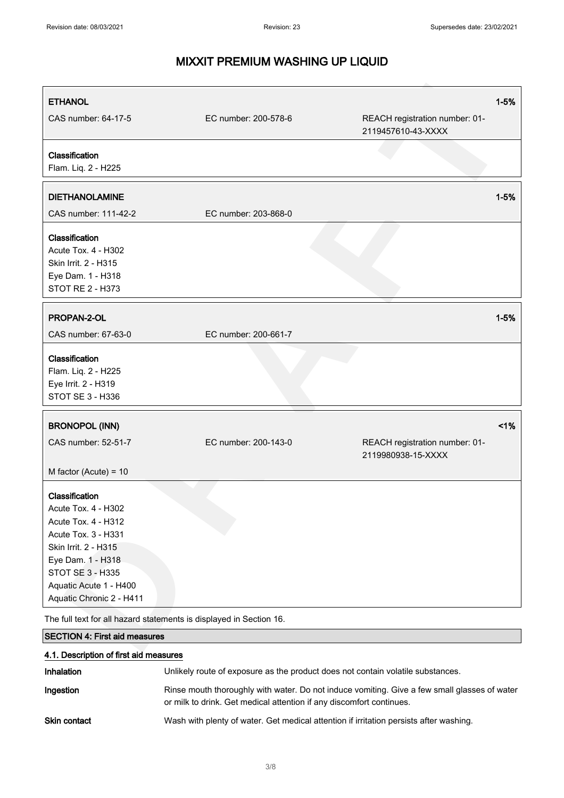| <b>ETHANOL</b>                                                      |                      | $1 - 5%$                                             |
|---------------------------------------------------------------------|----------------------|------------------------------------------------------|
| CAS number: 64-17-5                                                 | EC number: 200-578-6 | REACH registration number: 01-<br>2119457610-43-XXXX |
| Classification                                                      |                      |                                                      |
| Flam. Liq. 2 - H225                                                 |                      |                                                      |
| <b>DIETHANOLAMINE</b>                                               |                      | $1 - 5%$                                             |
| CAS number: 111-42-2                                                | EC number: 203-868-0 |                                                      |
| Classification                                                      |                      |                                                      |
| Acute Tox. 4 - H302                                                 |                      |                                                      |
| Skin Irrit. 2 - H315                                                |                      |                                                      |
| Eye Dam. 1 - H318                                                   |                      |                                                      |
| STOT RE 2 - H373                                                    |                      |                                                      |
|                                                                     |                      |                                                      |
| PROPAN-2-OL                                                         |                      | $1 - 5%$                                             |
| CAS number: 67-63-0                                                 | EC number: 200-661-7 |                                                      |
| Classification                                                      |                      |                                                      |
| Flam. Liq. 2 - H225                                                 |                      |                                                      |
| Eye Irrit. 2 - H319                                                 |                      |                                                      |
| <b>STOT SE 3 - H336</b>                                             |                      |                                                      |
|                                                                     |                      |                                                      |
| <b>BRONOPOL (INN)</b>                                               |                      | 1%                                                   |
| CAS number: 52-51-7                                                 | EC number: 200-143-0 | REACH registration number: 01-<br>2119980938-15-XXXX |
| M factor (Acute) = $10$                                             |                      |                                                      |
| Classification                                                      |                      |                                                      |
| Acute Tox. 4 - H302                                                 |                      |                                                      |
| Acute Tox. 4 - H312                                                 |                      |                                                      |
| Acute Tox. 3 - H331                                                 |                      |                                                      |
| Skin Irrit. 2 - H315                                                |                      |                                                      |
| Eye Dam. 1 - H318                                                   |                      |                                                      |
| STOT SE 3 - H335                                                    |                      |                                                      |
| Aquatic Acute 1 - H400                                              |                      |                                                      |
| Aquatic Chronic 2 - H411                                            |                      |                                                      |
| The full text for all hazard statements is displayed in Section 16. |                      |                                                      |
| <b>SECTION 4: First aid measures</b>                                |                      |                                                      |
|                                                                     |                      |                                                      |

| 4.1. Description of first aid measures |                                                                                                                                                                      |  |
|----------------------------------------|----------------------------------------------------------------------------------------------------------------------------------------------------------------------|--|
| <b>Inhalation</b>                      | Unlikely route of exposure as the product does not contain volatile substances.                                                                                      |  |
| Ingestion                              | Rinse mouth thoroughly with water. Do not induce vomiting. Give a few small glasses of water<br>or milk to drink. Get medical attention if any discomfort continues. |  |
| <b>Skin contact</b>                    | Wash with plenty of water. Get medical attention if irritation persists after washing.                                                                               |  |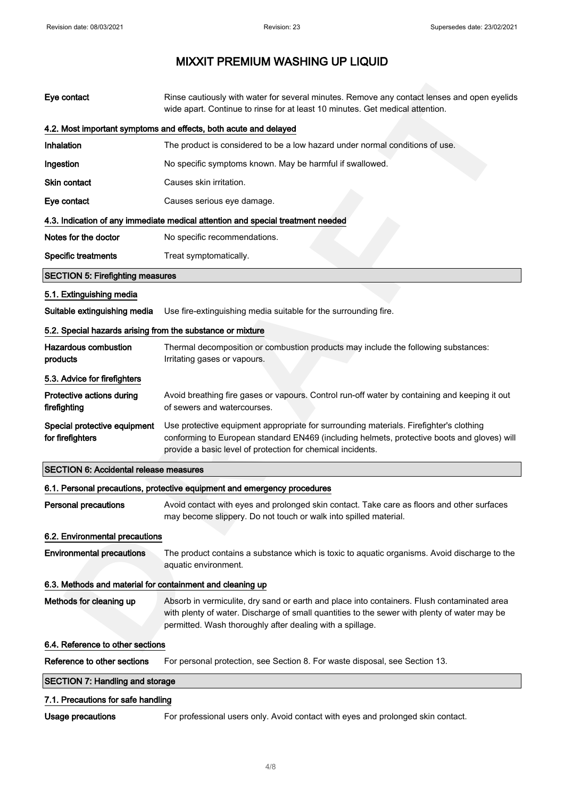| Eye contact                                                | Rinse cautiously with water for several minutes. Remove any contact lenses and open eyelids<br>wide apart. Continue to rinse for at least 10 minutes. Get medical attention.                                                                             |
|------------------------------------------------------------|----------------------------------------------------------------------------------------------------------------------------------------------------------------------------------------------------------------------------------------------------------|
|                                                            | 4.2. Most important symptoms and effects, both acute and delayed                                                                                                                                                                                         |
| Inhalation                                                 | The product is considered to be a low hazard under normal conditions of use.                                                                                                                                                                             |
| Ingestion                                                  | No specific symptoms known. May be harmful if swallowed.                                                                                                                                                                                                 |
| Skin contact                                               | Causes skin irritation.                                                                                                                                                                                                                                  |
| Eye contact                                                | Causes serious eye damage.                                                                                                                                                                                                                               |
|                                                            | 4.3. Indication of any immediate medical attention and special treatment needed                                                                                                                                                                          |
| Notes for the doctor                                       | No specific recommendations.                                                                                                                                                                                                                             |
| <b>Specific treatments</b>                                 | Treat symptomatically.                                                                                                                                                                                                                                   |
| <b>SECTION 5: Firefighting measures</b>                    |                                                                                                                                                                                                                                                          |
| 5.1. Extinguishing media                                   |                                                                                                                                                                                                                                                          |
| Suitable extinguishing media                               | Use fire-extinguishing media suitable for the surrounding fire.                                                                                                                                                                                          |
| 5.2. Special hazards arising from the substance or mixture |                                                                                                                                                                                                                                                          |
| <b>Hazardous combustion</b><br>products                    | Thermal decomposition or combustion products may include the following substances:<br>Irritating gases or vapours.                                                                                                                                       |
| 5.3. Advice for firefighters                               |                                                                                                                                                                                                                                                          |
| Protective actions during<br>firefighting                  | Avoid breathing fire gases or vapours. Control run-off water by containing and keeping it out<br>of sewers and watercourses.                                                                                                                             |
| Special protective equipment<br>for firefighters           | Use protective equipment appropriate for surrounding materials. Firefighter's clothing<br>conforming to European standard EN469 (including helmets, protective boots and gloves) will<br>provide a basic level of protection for chemical incidents.     |
| <b>SECTION 6: Accidental release measures</b>              |                                                                                                                                                                                                                                                          |
|                                                            | 6.1. Personal precautions, protective equipment and emergency procedures                                                                                                                                                                                 |
| <b>Personal precautions</b>                                | Avoid contact with eyes and prolonged skin contact. Take care as floors and other surfaces<br>may become slippery. Do not touch or walk into spilled material.                                                                                           |
| 6.2. Environmental precautions                             |                                                                                                                                                                                                                                                          |
| <b>Environmental precautions</b>                           | The product contains a substance which is toxic to aquatic organisms. Avoid discharge to the<br>aquatic environment.                                                                                                                                     |
| 6.3. Methods and material for containment and cleaning up  |                                                                                                                                                                                                                                                          |
| Methods for cleaning up                                    | Absorb in vermiculite, dry sand or earth and place into containers. Flush contaminated area<br>with plenty of water. Discharge of small quantities to the sewer with plenty of water may be<br>permitted. Wash thoroughly after dealing with a spillage. |
| 6.4. Reference to other sections                           |                                                                                                                                                                                                                                                          |
| Reference to other sections                                | For personal protection, see Section 8. For waste disposal, see Section 13.                                                                                                                                                                              |
| <b>SECTION 7: Handling and storage</b>                     |                                                                                                                                                                                                                                                          |
| 7.1. Precautions for safe handling                         |                                                                                                                                                                                                                                                          |
| <b>Usage precautions</b>                                   | For professional users only. Avoid contact with eyes and prolonged skin contact.                                                                                                                                                                         |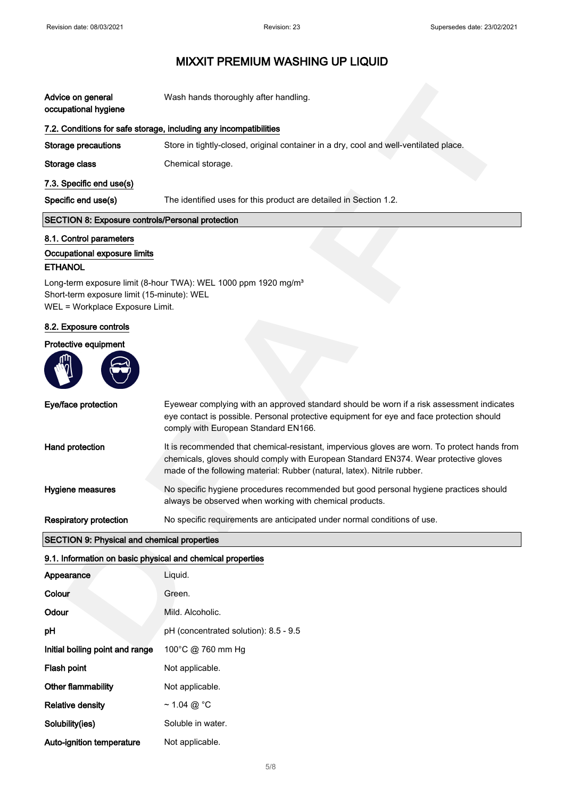| Advice on general<br>occupational hygiene               | Wash hands thoroughly after handling.                                                 |
|---------------------------------------------------------|---------------------------------------------------------------------------------------|
|                                                         | 7.2. Conditions for safe storage, including any incompatibilities                     |
| Storage precautions                                     | Store in tightly-closed, original container in a dry, cool and well-ventilated place. |
| Storage class                                           | Chemical storage.                                                                     |
| 7.3. Specific end use(s)                                |                                                                                       |
| Specific end use(s)                                     | The identified uses for this product are detailed in Section 1.2.                     |
| <b>SECTION 8: Exposure controls/Personal protection</b> |                                                                                       |

### 8.1. Control parameters

### Occupational exposure limits

### ETHANOL

#### 8.2. Exposure controls

### Protective equipment



| Advice on general                                           | Wash hands thoroughly after handling.                                                                                                                                                                                                                            |
|-------------------------------------------------------------|------------------------------------------------------------------------------------------------------------------------------------------------------------------------------------------------------------------------------------------------------------------|
| occupational hygiene                                        |                                                                                                                                                                                                                                                                  |
|                                                             | 7.2. Conditions for safe storage, including any incompatibilities                                                                                                                                                                                                |
| <b>Storage precautions</b>                                  | Store in tightly-closed, original container in a dry, cool and well-ventilated place.                                                                                                                                                                            |
| Storage class                                               | Chemical storage.                                                                                                                                                                                                                                                |
| 7.3. Specific end use(s)                                    |                                                                                                                                                                                                                                                                  |
| Specific end use(s)                                         | The identified uses for this product are detailed in Section 1.2.                                                                                                                                                                                                |
| <b>SECTION 8: Exposure controls/Personal protection</b>     |                                                                                                                                                                                                                                                                  |
| 8.1. Control parameters                                     |                                                                                                                                                                                                                                                                  |
| Occupational exposure limits                                |                                                                                                                                                                                                                                                                  |
| <b>ETHANOL</b>                                              |                                                                                                                                                                                                                                                                  |
| Short-term exposure limit (15-minute): WEL                  | Long-term exposure limit (8-hour TWA): WEL 1000 ppm 1920 mg/m <sup>3</sup>                                                                                                                                                                                       |
| WEL = Workplace Exposure Limit.                             |                                                                                                                                                                                                                                                                  |
| 8.2. Exposure controls                                      |                                                                                                                                                                                                                                                                  |
| Protective equipment                                        |                                                                                                                                                                                                                                                                  |
|                                                             |                                                                                                                                                                                                                                                                  |
| Eye/face protection                                         | Eyewear complying with an approved standard should be worn if a risk assessment indicates<br>eye contact is possible. Personal protective equipment for eye and face protection should<br>comply with European Standard EN166.                                   |
| Hand protection                                             | It is recommended that chemical-resistant, impervious gloves are worn. To protect hands from<br>chemicals, gloves should comply with European Standard EN374. Wear protective gloves<br>made of the following material: Rubber (natural, latex). Nitrile rubber. |
| Hygiene measures                                            | No specific hygiene procedures recommended but good personal hygiene practices should<br>always be observed when working with chemical products.                                                                                                                 |
| <b>Respiratory protection</b>                               | No specific requirements are anticipated under normal conditions of use.                                                                                                                                                                                         |
| <b>SECTION 9: Physical and chemical properties</b>          |                                                                                                                                                                                                                                                                  |
| 9.1. Information on basic physical and chemical properties  |                                                                                                                                                                                                                                                                  |
| Appearance                                                  | Liquid.                                                                                                                                                                                                                                                          |
| Colour                                                      | Green.                                                                                                                                                                                                                                                           |
| Odour                                                       | Mild. Alcoholic.                                                                                                                                                                                                                                                 |
| pH                                                          | pH (concentrated solution): 8.5 - 9.5                                                                                                                                                                                                                            |
| Initial boiling point and range $100^{\circ}$ C @ 760 mm Hg |                                                                                                                                                                                                                                                                  |

#### 9.1. Information on basic physical and chemical properties

| Appearance                      | Liquid.                               |
|---------------------------------|---------------------------------------|
| Colour                          | Green.                                |
| Odour                           | Mild. Alcoholic.                      |
| рH                              | pH (concentrated solution): 8.5 - 9.5 |
| Initial boiling point and range | 100°C @ 760 mm Hg                     |
| Flash point                     | Not applicable.                       |
| Other flammability              | Not applicable.                       |
| <b>Relative density</b>         | $\sim$ 1.04 @ °C                      |
| Solubility(ies)                 | Soluble in water.                     |
| Auto-ignition temperature       | Not applicable.                       |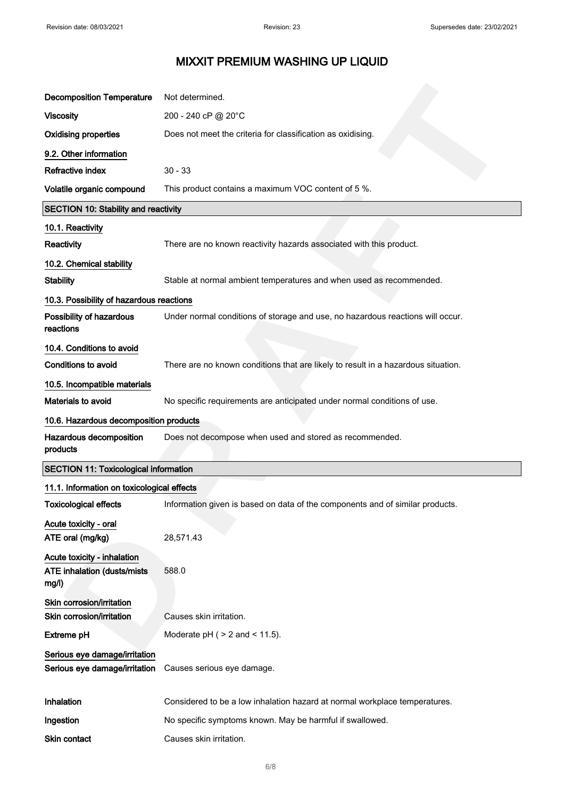| <b>Decomposition Temperature</b>                                           | Not determined.                                                                   |
|----------------------------------------------------------------------------|-----------------------------------------------------------------------------------|
| <b>Viscosity</b>                                                           | 200 - 240 cP @ 20°C                                                               |
| <b>Oxidising properties</b>                                                | Does not meet the criteria for classification as oxidising.                       |
| 9.2. Other information                                                     |                                                                                   |
| Refractive index                                                           | $30 - 33$                                                                         |
| Volatile organic compound                                                  | This product contains a maximum VOC content of 5 %.                               |
| <b>SECTION 10: Stability and reactivity</b>                                |                                                                                   |
| 10.1. Reactivity                                                           |                                                                                   |
| Reactivity                                                                 | There are no known reactivity hazards associated with this product.               |
| 10.2. Chemical stability                                                   |                                                                                   |
| <b>Stability</b>                                                           | Stable at normal ambient temperatures and when used as recommended.               |
| 10.3. Possibility of hazardous reactions                                   |                                                                                   |
| Possibility of hazardous<br>reactions                                      | Under normal conditions of storage and use, no hazardous reactions will occur.    |
| 10.4. Conditions to avoid                                                  |                                                                                   |
| <b>Conditions to avoid</b>                                                 | There are no known conditions that are likely to result in a hazardous situation. |
| 10.5. Incompatible materials                                               |                                                                                   |
| Materials to avoid                                                         | No specific requirements are anticipated under normal conditions of use.          |
| 10.6. Hazardous decomposition products                                     |                                                                                   |
| Hazardous decomposition<br>products                                        | Does not decompose when used and stored as recommended.                           |
| <b>SECTION 11: Toxicological information</b>                               |                                                                                   |
| 11.1. Information on toxicological effects                                 |                                                                                   |
| <b>Toxicological effects</b>                                               | Information given is based on data of the components and of similar products.     |
| Acute toxicity - oral<br>ATE oral (mg/kg)                                  | 28,571.43                                                                         |
| Acute toxicity - inhalation<br><b>ATE inhalation (dusts/mists</b><br>mg/l) | 588.0                                                                             |
| Skin corrosion/irritation                                                  |                                                                                   |
| Skin corrosion/irritation                                                  | Causes skin irritation.                                                           |
| <b>Extreme pH</b>                                                          | Moderate $pH$ ( $> 2$ and $< 11.5$ ).                                             |
| Serious eye damage/irritation<br>Serious eye damage/irritation             | Causes serious eye damage.                                                        |
| Inhalation                                                                 | Considered to be a low inhalation hazard at normal workplace temperatures.        |
| Ingestion                                                                  | No specific symptoms known. May be harmful if swallowed.                          |
| Skin contact                                                               | Causes skin irritation.                                                           |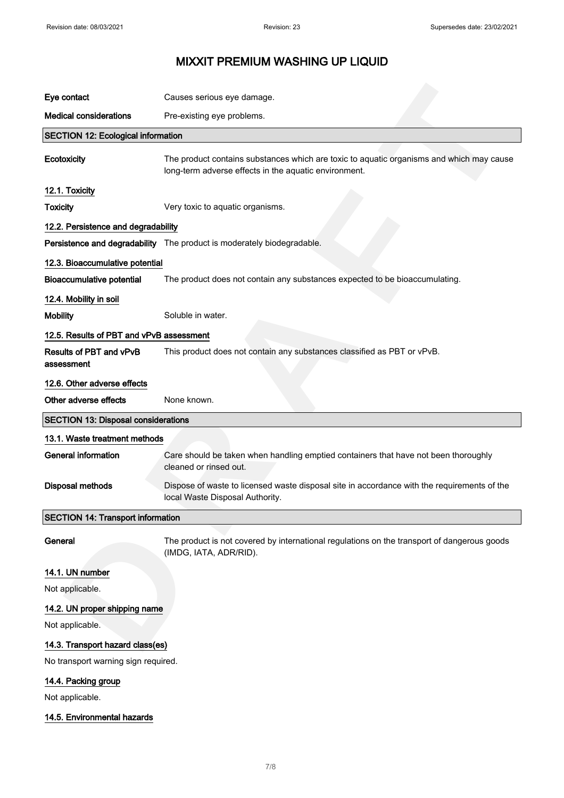| Eye contact                                                                            | Causes serious eye damage.                                                                                                                        |
|----------------------------------------------------------------------------------------|---------------------------------------------------------------------------------------------------------------------------------------------------|
|                                                                                        |                                                                                                                                                   |
| <b>Medical considerations</b>                                                          | Pre-existing eye problems.                                                                                                                        |
| <b>SECTION 12: Ecological information</b>                                              |                                                                                                                                                   |
| Ecotoxicity                                                                            | The product contains substances which are toxic to aquatic organisms and which may cause<br>long-term adverse effects in the aquatic environment. |
| 12.1. Toxicity                                                                         |                                                                                                                                                   |
| <b>Toxicity</b>                                                                        | Very toxic to aquatic organisms.                                                                                                                  |
| 12.2. Persistence and degradability                                                    |                                                                                                                                                   |
|                                                                                        | Persistence and degradability The product is moderately biodegradable.                                                                            |
| 12.3. Bioaccumulative potential                                                        |                                                                                                                                                   |
| <b>Bioaccumulative potential</b>                                                       | The product does not contain any substances expected to be bioaccumulating.                                                                       |
| 12.4. Mobility in soil                                                                 |                                                                                                                                                   |
| <b>Mobility</b>                                                                        | Soluble in water.                                                                                                                                 |
| 12.5. Results of PBT and vPvB assessment                                               |                                                                                                                                                   |
| Results of PBT and vPvB<br>assessment                                                  | This product does not contain any substances classified as PBT or vPvB.                                                                           |
| 12.6. Other adverse effects                                                            |                                                                                                                                                   |
| Other adverse effects                                                                  | None known.                                                                                                                                       |
|                                                                                        |                                                                                                                                                   |
|                                                                                        |                                                                                                                                                   |
| 13.1. Waste treatment methods                                                          |                                                                                                                                                   |
| <b>General information</b>                                                             | Care should be taken when handling emptied containers that have not been thoroughly<br>cleaned or rinsed out.                                     |
| <b>Disposal methods</b>                                                                | Dispose of waste to licensed waste disposal site in accordance with the requirements of the<br>local Waste Disposal Authority.                    |
| <b>SECTION 13: Disposal considerations</b><br><b>SECTION 14: Transport information</b> |                                                                                                                                                   |
| General                                                                                | The product is not covered by international regulations on the transport of dangerous goods<br>(IMDG, IATA, ADR/RID).                             |
| 14.1. UN number                                                                        |                                                                                                                                                   |
| Not applicable.                                                                        |                                                                                                                                                   |
| 14.2. UN proper shipping name                                                          |                                                                                                                                                   |
| Not applicable.                                                                        |                                                                                                                                                   |
| 14.3. Transport hazard class(es)                                                       |                                                                                                                                                   |
| No transport warning sign required.                                                    |                                                                                                                                                   |
| 14.4. Packing group                                                                    |                                                                                                                                                   |
| Not applicable.                                                                        |                                                                                                                                                   |
| 14.5. Environmental hazards                                                            |                                                                                                                                                   |